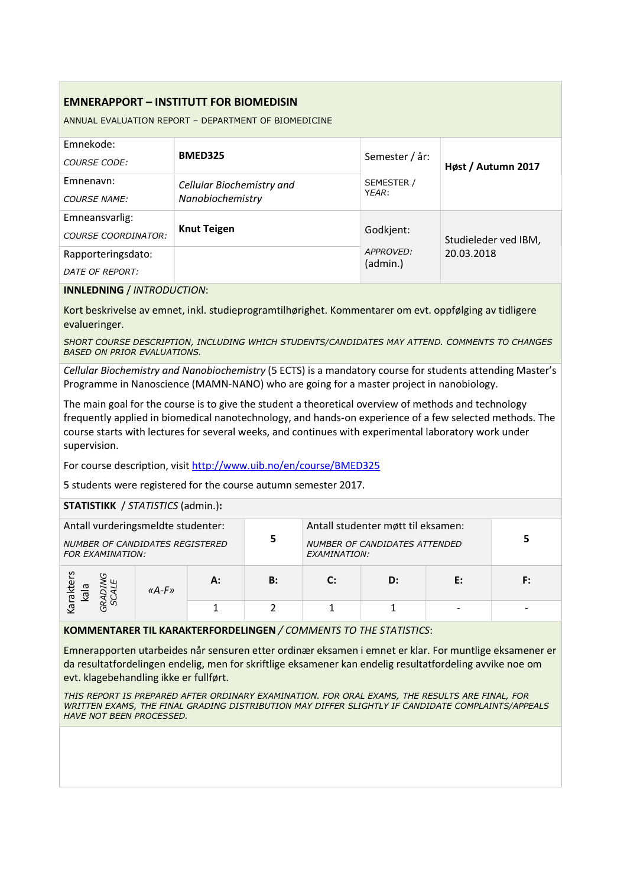# EMNERAPPORT – INSTITUTT FOR BIOMEDISIN

ANNUAL EVALUATION REPORT – DEPARTMENT OF BIOMEDICINE

| Emnekode:<br>COURSE CODE:                    | <b>BMED325</b>                                | Semester / år:        | Høst / Autumn 2017   |  |
|----------------------------------------------|-----------------------------------------------|-----------------------|----------------------|--|
| Emnenavn:<br><b>COURSE NAME:</b>             | Cellular Biochemistry and<br>Nanobiochemistry | SEMESTER /<br>YEAR:   |                      |  |
| Emneansvarlig:<br><b>COURSE COORDINATOR:</b> | <b>Knut Teigen</b>                            | Godkjent:             | Studieleder ved IBM, |  |
| Rapporteringsdato:<br>DATE OF REPORT:        |                                               | APPROVED:<br>(admin.) | 20.03.2018           |  |

#### INNLEDNING / INTRODUCTION:

Kort beskrivelse av emnet, inkl. studieprogramtilhørighet. Kommentarer om evt. oppfølging av tidligere evalueringer.

SHORT COURSE DESCRIPTION, INCLUDING WHICH STUDENTS/CANDIDATES MAY ATTEND. COMMENTS TO CHANGES BASED ON PRIOR EVALUATIONS.

Cellular Biochemistry and Nanobiochemistry (5 ECTS) is a mandatory course for students attending Master's Programme in Nanoscience (MAMN-NANO) who are going for a master project in nanobiology.

The main goal for the course is to give the student a theoretical overview of methods and technology frequently applied in biomedical nanotechnology, and hands-on experience of a few selected methods. The course starts with lectures for several weeks, and continues with experimental laboratory work under supervision.

For course description, visit http://www.uib.no/en/course/BMED325

5 students were registered for the course autumn semester 2017.

# STATISTIKK / STATISTICS (admin.):

| Antall vurderingsmeldte studenter:<br><b>NUMBER OF CANDIDATES REGISTERED</b><br><b>FOR EXAMINATION:</b> |       | 5  | Antall studenter møtt til eksamen:<br>NUMBER OF CANDIDATES ATTENDED<br>EXAMINATION: |              |    |    |    |
|---------------------------------------------------------------------------------------------------------|-------|----|-------------------------------------------------------------------------------------|--------------|----|----|----|
| iaraktei<br>kala                                                                                        | «A-F» | А: | B:                                                                                  | $\mathbf{C}$ | D: | E: | F: |
|                                                                                                         |       |    |                                                                                     |              |    |    |    |

# KOMMENTARER TIL KARAKTERFORDELINGEN / COMMENTS TO THE STATISTICS:

Emnerapporten utarbeides når sensuren etter ordinær eksamen i emnet er klar. For muntlige eksamener er da resultatfordelingen endelig, men for skriftlige eksamener kan endelig resultatfordeling avvike noe om evt. klagebehandling ikke er fullført.

THIS REPORT IS PREPARED AFTER ORDINARY EXAMINATION. FOR ORAL EXAMS, THE RESULTS ARE FINAL, FOR WRITTEN EXAMS, THE FINAL GRADING DISTRIBUTION MAY DIFFER SLIGHTLY IF CANDIDATE COMPLAINTS/APPEALS HAVE NOT BEEN PROCESSED.